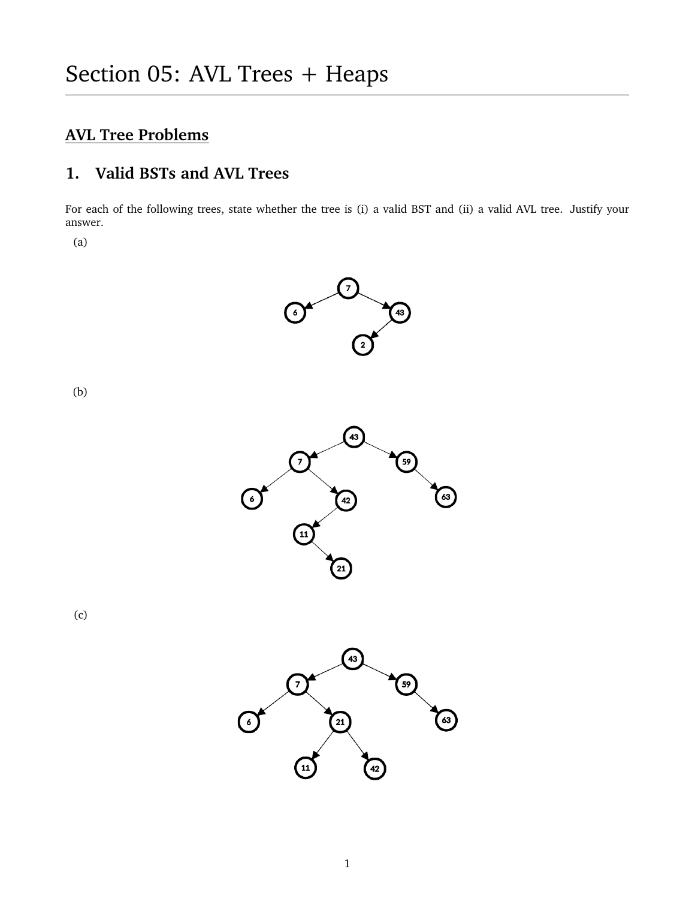# **AVL Tree Problems**

## **1. Valid BSTs and AVL Trees**

For each of the following trees, state whether the tree is (i) a valid BST and (ii) a valid AVL tree. Justify your answer.

(a)

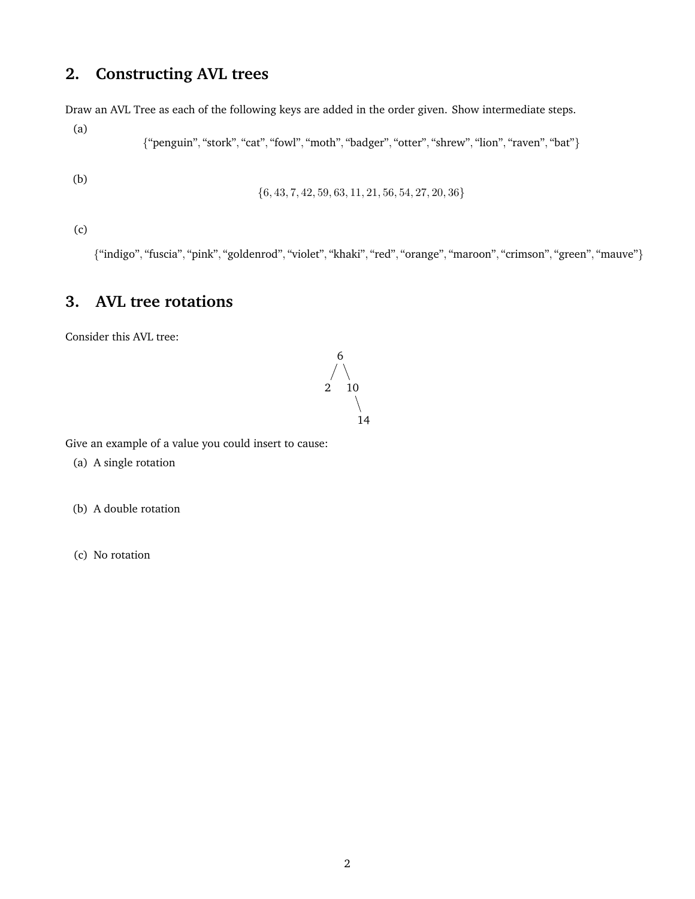## **2. Constructing AVL trees**

Draw an AVL Tree as each of the following keys are added in the order given. Show intermediate steps.

{"penguin", "stork", "cat", "fowl", "moth", "badger", "otter", "shrew", "lion", "raven", "bat"}

(b)

(a)

 $\{6, 43, 7, 42, 59, 63, 11, 21, 56, 54, 27, 20, 36\}$ 

(c)

{"indigo", "fuscia", "pink", "goldenrod", "violet", "khaki", "red", "orange", "maroon", "crimson", "green", "mauve"}

## **3. AVL tree rotations**

Consider this AVL tree:



Give an example of a value you could insert to cause:

(a) A single rotation

(b) A double rotation

(c) No rotation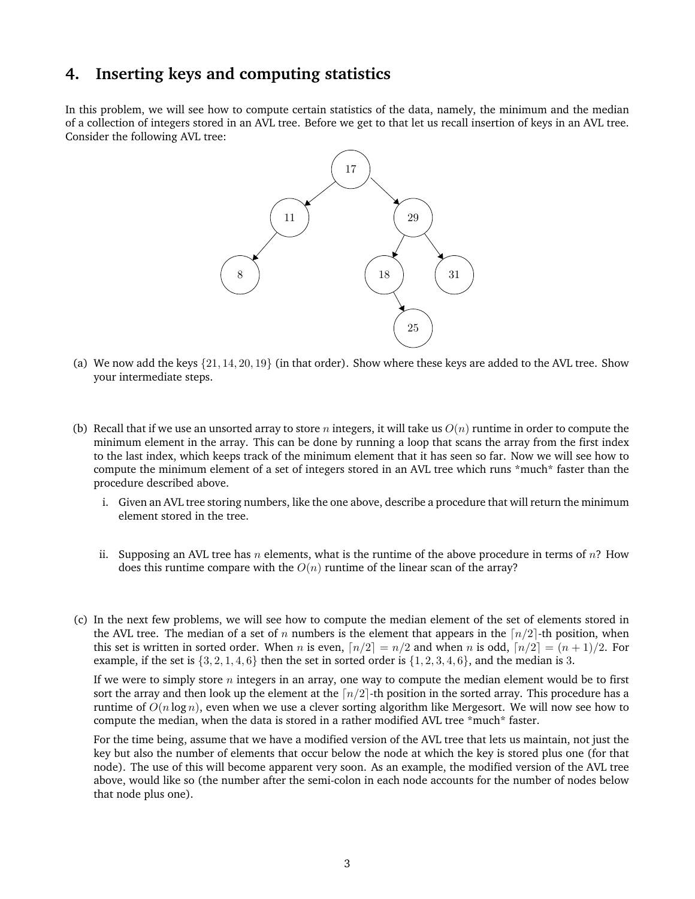#### **4. Inserting keys and computing statistics**

In this problem, we will see how to compute certain statistics of the data, namely, the minimum and the median of a collection of integers stored in an AVL tree. Before we get to that let us recall insertion of keys in an AVL tree. Consider the following AVL tree:



- (a) We now add the keys  $\{21, 14, 20, 19\}$  (in that order). Show where these keys are added to the AVL tree. Show your intermediate steps.
- (b) Recall that if we use an unsorted array to store n integers, it will take us  $O(n)$  runtime in order to compute the minimum element in the array. This can be done by running a loop that scans the array from the first index to the last index, which keeps track of the minimum element that it has seen so far. Now we will see how to compute the minimum element of a set of integers stored in an AVL tree which runs \*much\* faster than the procedure described above.
	- i. Given an AVL tree storing numbers, like the one above, describe a procedure that will return the minimum element stored in the tree.
	- ii. Supposing an AVL tree has n elements, what is the runtime of the above procedure in terms of  $n$ ? How does this runtime compare with the  $O(n)$  runtime of the linear scan of the array?
- (c) In the next few problems, we will see how to compute the median element of the set of elements stored in the AVL tree. The median of a set of n numbers is the element that appears in the  $\lceil n/2 \rceil$ -th position, when this set is written in sorted order. When n is even,  $\lceil n/2 \rceil = n/2$  and when n is odd,  $\lceil n/2 \rceil = (n + 1)/2$ . For example, if the set is  $\{3, 2, 1, 4, 6\}$  then the set in sorted order is  $\{1, 2, 3, 4, 6\}$ , and the median is 3.

If we were to simply store  $n$  integers in an array, one way to compute the median element would be to first sort the array and then look up the element at the  $\lceil n/2 \rceil$ -th position in the sorted array. This procedure has a runtime of  $O(n \log n)$ , even when we use a clever sorting algorithm like Mergesort. We will now see how to compute the median, when the data is stored in a rather modified AVL tree \*much\* faster.

For the time being, assume that we have a modified version of the AVL tree that lets us maintain, not just the key but also the number of elements that occur below the node at which the key is stored plus one (for that node). The use of this will become apparent very soon. As an example, the modified version of the AVL tree above, would like so (the number after the semi-colon in each node accounts for the number of nodes below that node plus one).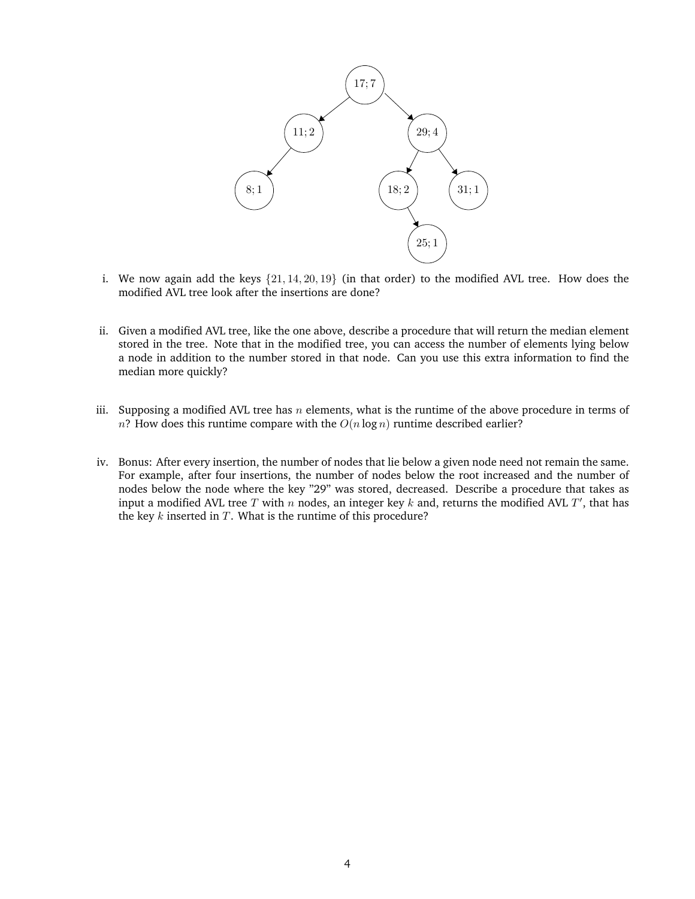

- i. We now again add the keys {21, 14, 20, 19} (in that order) to the modified AVL tree. How does the modified AVL tree look after the insertions are done?
- ii. Given a modified AVL tree, like the one above, describe a procedure that will return the median element stored in the tree. Note that in the modified tree, you can access the number of elements lying below a node in addition to the number stored in that node. Can you use this extra information to find the median more quickly?
- iii. Supposing a modified AVL tree has  $n$  elements, what is the runtime of the above procedure in terms of n? How does this runtime compare with the  $O(n \log n)$  runtime described earlier?
- iv. Bonus: After every insertion, the number of nodes that lie below a given node need not remain the same. For example, after four insertions, the number of nodes below the root increased and the number of nodes below the node where the key "29" was stored, decreased. Describe a procedure that takes as input a modified AVL tree T with n nodes, an integer key k and, returns the modified AVL T', that has the key  $k$  inserted in  $T$ . What is the runtime of this procedure?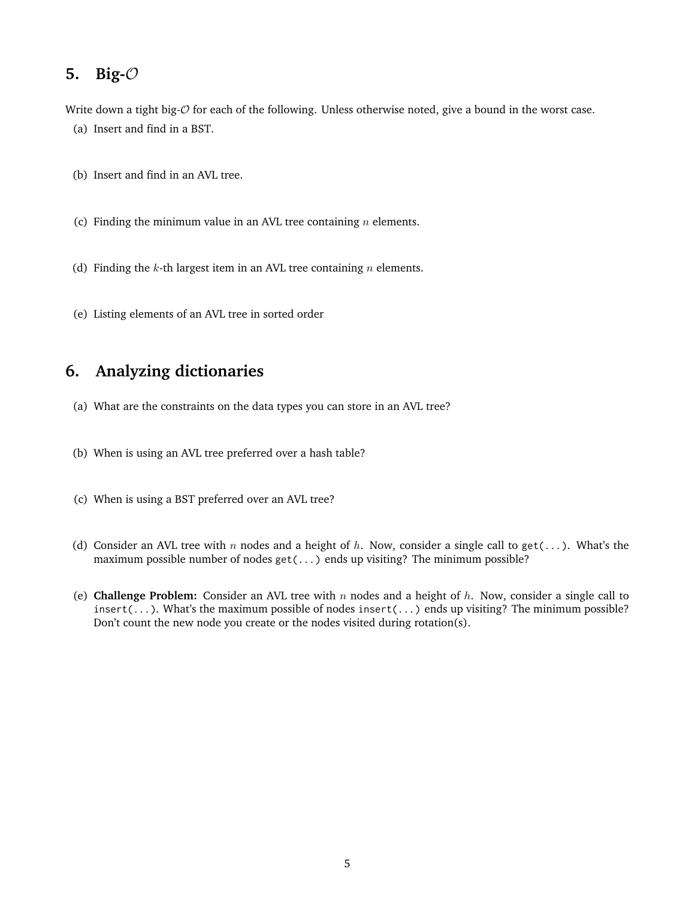#### **5. Big-**O

Write down a tight big- $\mathcal O$  for each of the following. Unless otherwise noted, give a bound in the worst case. (a) Insert and find in a BST.

- (b) Insert and find in an AVL tree.
- (c) Finding the minimum value in an AVL tree containing  $n$  elements.
- (d) Finding the  $k$ -th largest item in an AVL tree containing  $n$  elements.
- (e) Listing elements of an AVL tree in sorted order

## **6. Analyzing dictionaries**

- (a) What are the constraints on the data types you can store in an AVL tree?
- (b) When is using an AVL tree preferred over a hash table?
- (c) When is using a BST preferred over an AVL tree?
- (d) Consider an AVL tree with n nodes and a height of h. Now, consider a single call to get(...). What's the maximum possible number of nodes get(...) ends up visiting? The minimum possible?
- (e) **Challenge Problem:** Consider an AVL tree with n nodes and a height of h. Now, consider a single call to insert(...). What's the maximum possible of nodes insert(...) ends up visiting? The minimum possible? Don't count the new node you create or the nodes visited during rotation(s).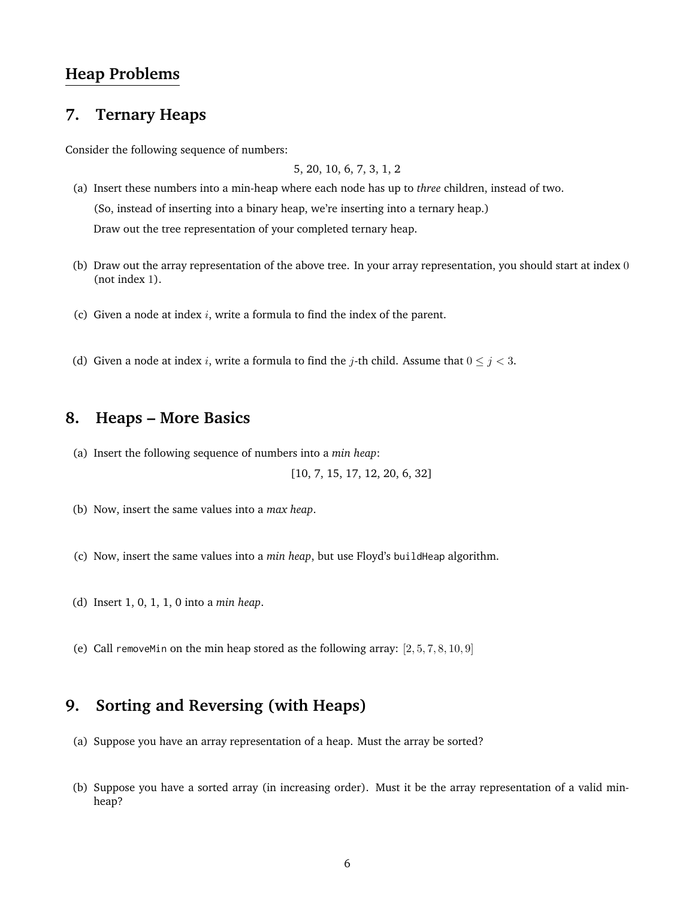#### **Heap Problems**

#### **7. Ternary Heaps**

Consider the following sequence of numbers:

5, 20, 10, 6, 7, 3, 1, 2

- (a) Insert these numbers into a min-heap where each node has up to *three* children, instead of two. (So, instead of inserting into a binary heap, we're inserting into a ternary heap.) Draw out the tree representation of your completed ternary heap.
- (b) Draw out the array representation of the above tree. In your array representation, you should start at index 0 (not index 1).
- (c) Given a node at index  $i$ , write a formula to find the index of the parent.
- (d) Given a node at index *i*, write a formula to find the *j*-th child. Assume that  $0 \le j < 3$ .

#### **8. Heaps – More Basics**

(a) Insert the following sequence of numbers into a *min heap*:

[10, 7, 15, 17, 12, 20, 6, 32]

- (b) Now, insert the same values into a *max heap*.
- (c) Now, insert the same values into a *min heap*, but use Floyd's buildHeap algorithm.
- (d) Insert 1, 0, 1, 1, 0 into a *min heap*.
- (e) Call removeMin on the min heap stored as the following array:  $[2, 5, 7, 8, 10, 9]$

#### **9. Sorting and Reversing (with Heaps)**

- (a) Suppose you have an array representation of a heap. Must the array be sorted?
- (b) Suppose you have a sorted array (in increasing order). Must it be the array representation of a valid minheap?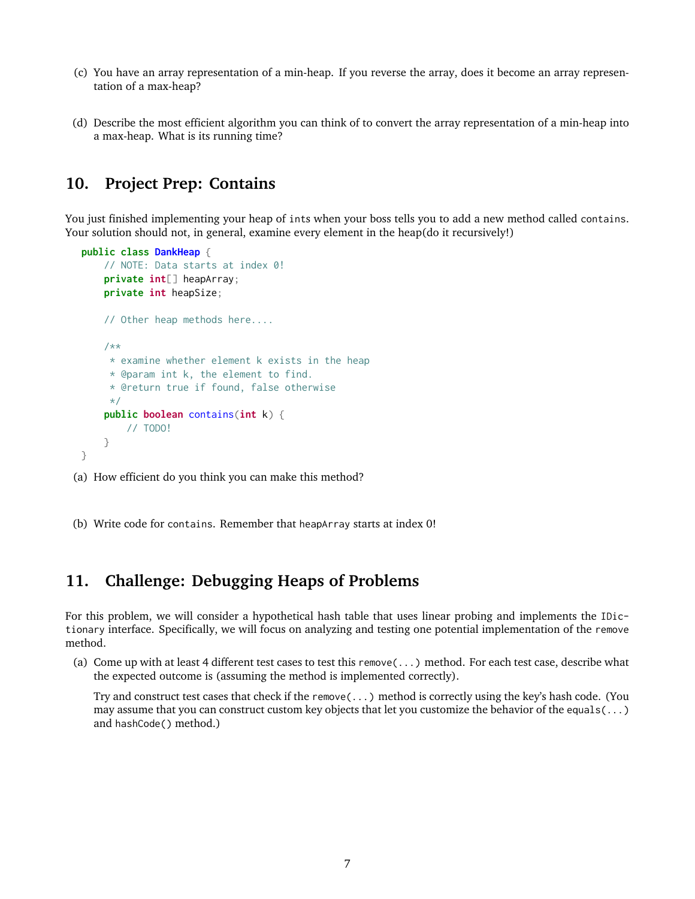- (c) You have an array representation of a min-heap. If you reverse the array, does it become an array representation of a max-heap?
- (d) Describe the most efficient algorithm you can think of to convert the array representation of a min-heap into a max-heap. What is its running time?

## **10. Project Prep: Contains**

You just finished implementing your heap of ints when your boss tells you to add a new method called contains. Your solution should not, in general, examine every element in the heap(do it recursively!)

```
public class DankHeap {
    // NOTE: Data starts at index 0!
    private int[] heapArray;
   private int heapSize;
    // Other heap methods here....
    /**
    * examine whether element k exists in the heap
     * @param int k, the element to find.
     * @return true if found, false otherwise
     */
    public boolean contains(int k) {
        // TODO!
    }
}
```
(a) How efficient do you think you can make this method?

(b) Write code for contains. Remember that heapArray starts at index 0!

#### **11. Challenge: Debugging Heaps of Problems**

For this problem, we will consider a hypothetical hash table that uses linear probing and implements the IDictionary interface. Specifically, we will focus on analyzing and testing one potential implementation of the remove method.

(a) Come up with at least 4 different test cases to test this remove(...) method. For each test case, describe what the expected outcome is (assuming the method is implemented correctly).

Try and construct test cases that check if the remove(...) method is correctly using the key's hash code. (You may assume that you can construct custom key objects that let you customize the behavior of the equals(...) and hashCode() method.)